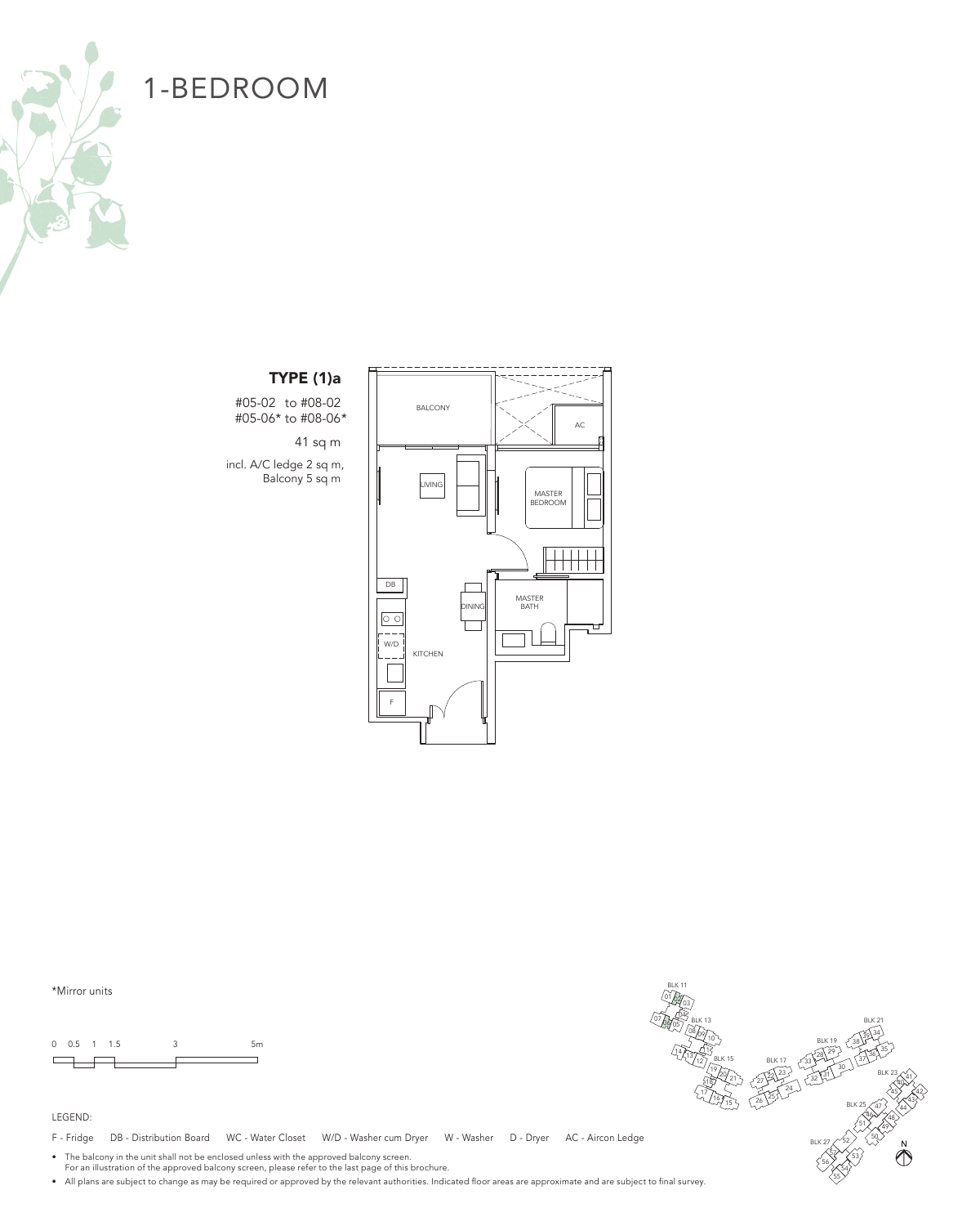

### TYPE (1)a

#05-02 to #08-02 #05-06\* to #08-06\*

41 sq m

incl. A/C ledge 2 sq m, Balcony 5 sq m



\*Mirror units

0 0.5 1 1.5 3 5m  $\Box$ 



F - Fridge DB - Distribution Board WC - Water Closet W/D - Washer cum Dryer W - Washer D - Dryer AC - Aircon Ledge

• The balcony in the unit shall not be enclosed unless with the approved balcony screen. For an illustration of the approved balcony screen, please refer to the last page of this brochure.

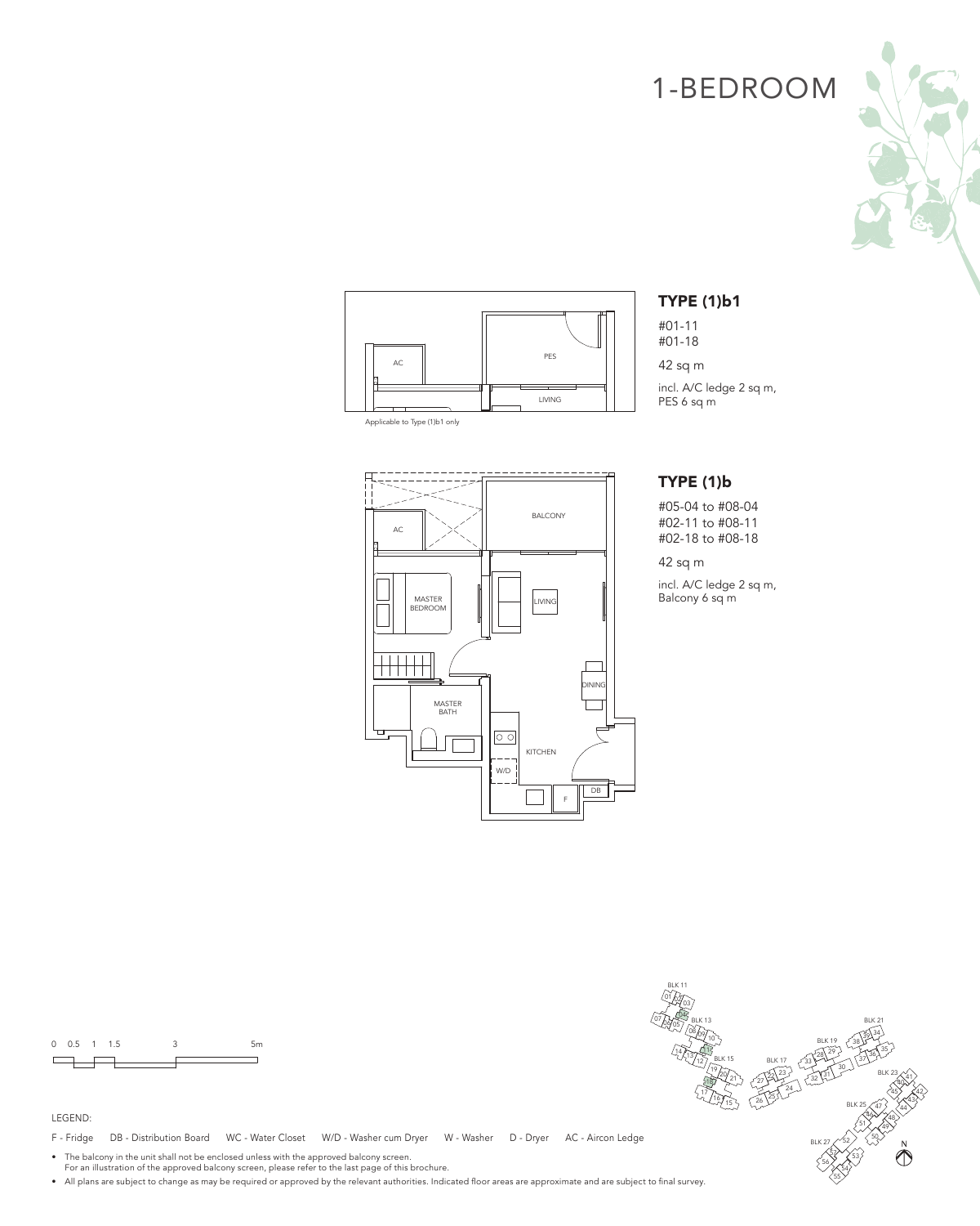



Applicable to Type (1)b1 only

TYPE (1)b1

#01-11 #01-18

42 sq m

incl. A/C ledge 2 sq m, PES 6 sq m

### TYPE (1)b

#05-04 to #08-04 #02-11 to #08-11 #02-18 to #08-18

42 sq m

incl. A/C ledge 2 sq m, Balcony 6 sq m



0 0.5 1 1.5 3 5m  $\Box$ 

#### LEGEND:

F - Fridge DB - Distribution Board WC - Water Closet W/D - Washer cum Dryer W - Washer D - Dryer AC - Aircon Ledge

• The balcony in the unit shall not be enclosed unless with the approved balcony screen. For an illustration of the approved balcony screen, please refer to the last page of this brochure.

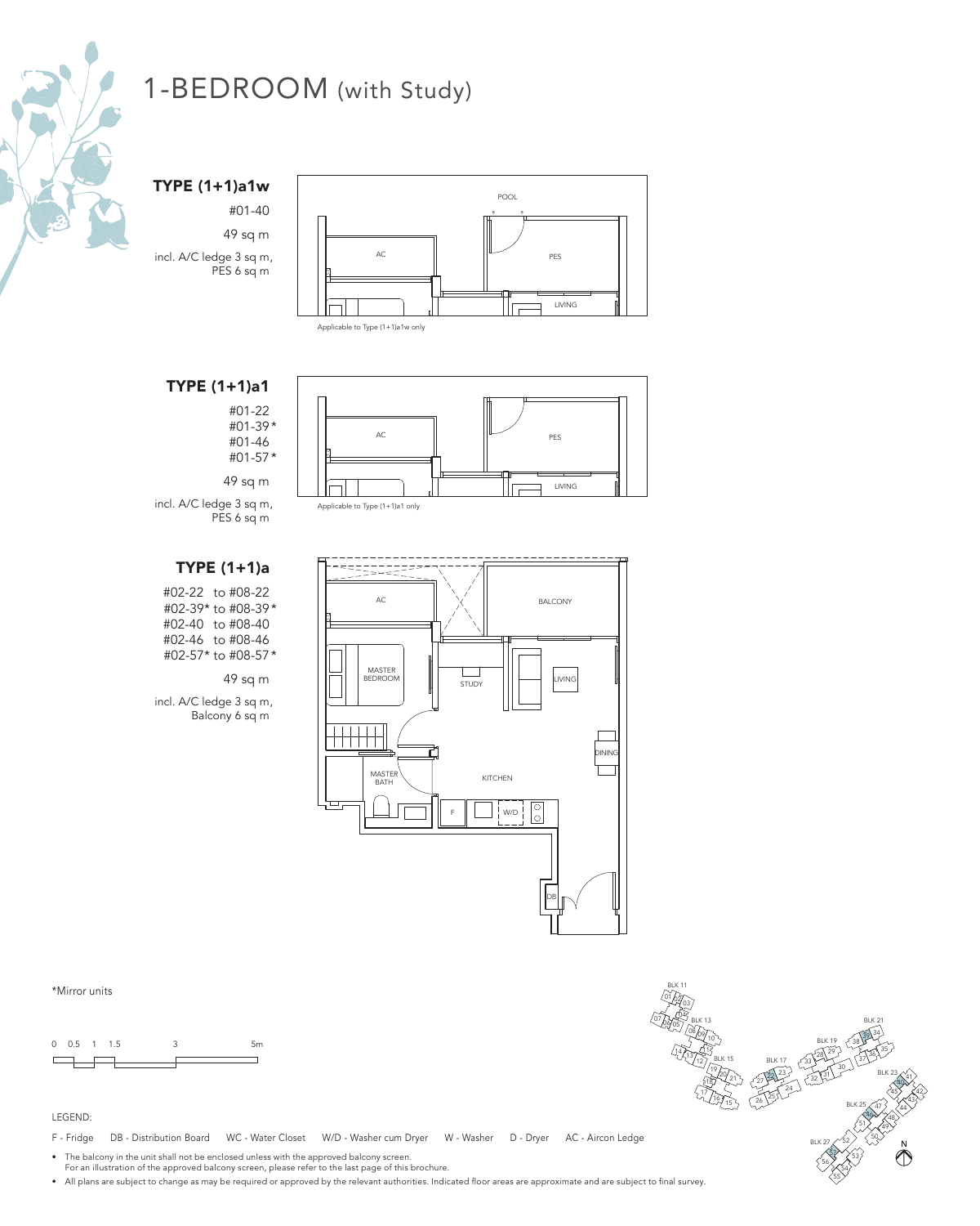

TYPE (1+1)a1w

#01-40 49 sq m incl. A/C ledge 3 sq m, PES 6 sq m



## TYPE (1+1)a1

#01-22 #01-39\* #01-46 #01-57\*

49 sq m



incl. A/C ledge 3 sq m, PES 6 sq m Applicable to Type (1+1)a1 only

## TYPE (1+1)a

#02-22 to #08-22 #02-39\* to #08-39\* #02-40 to #08-40 #02-46 to #08-46 #02-57\* to #08-57\*

#### 49 sq m

incl. A/C ledge 3 sq m, Balcony 6 sq m



\*Mirror units

0 0.5 1 1.5 3 5m  $\Box$ 

#### LEGEND:

F - Fridge DB - Distribution Board WC - Water Closet W/D - Washer cum Dryer W - Washer D - Dryer AC - Aircon Ledge

• The balcony in the unit shall not be enclosed unless with the approved balcony screen.

For an illustration of the approved balcony screen, please refer to the last page of this brochure.

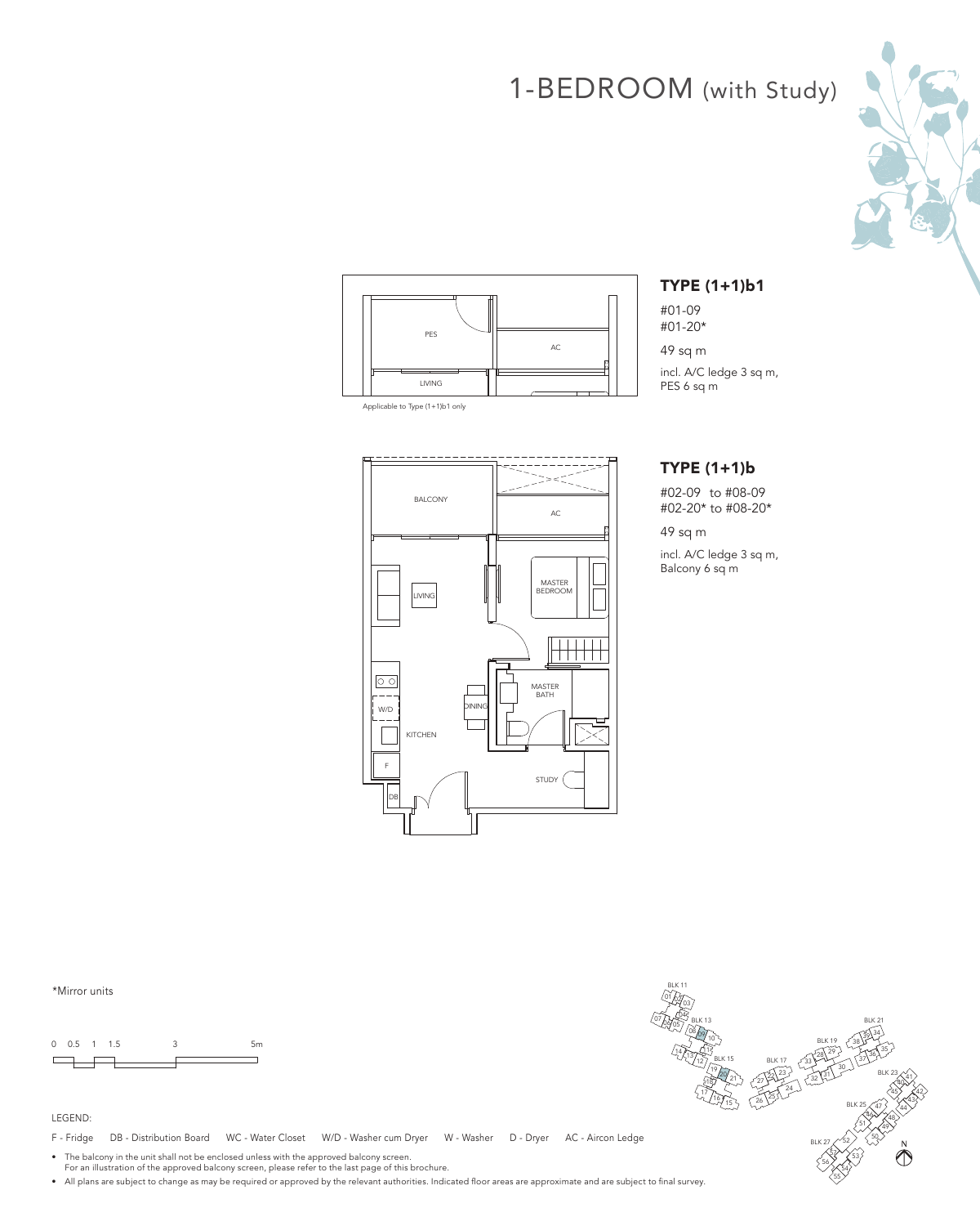



Applicable to Type (1+1)b1 only



### TYPE (1+1)b1

#01-09 #01-20\*

49 sq m

incl. A/C ledge 3 sq m, PES 6 sq m

### TYPE (1+1)b

#02-09 to #08-09 #02-20\* to #08-20\*

49 sq m

incl. A/C ledge 3 sq m, Balcony 6 sq m

\*Mirror units



#### LEGEND:

F - Fridge DB - Distribution Board WC - Water Closet W/D - Washer cum Dryer W - Washer D - Dryer AC - Aircon Ledge

• The balcony in the unit shall not be enclosed unless with the approved balcony screen. For an illustration of the approved balcony screen, please refer to the last page of this brochure.

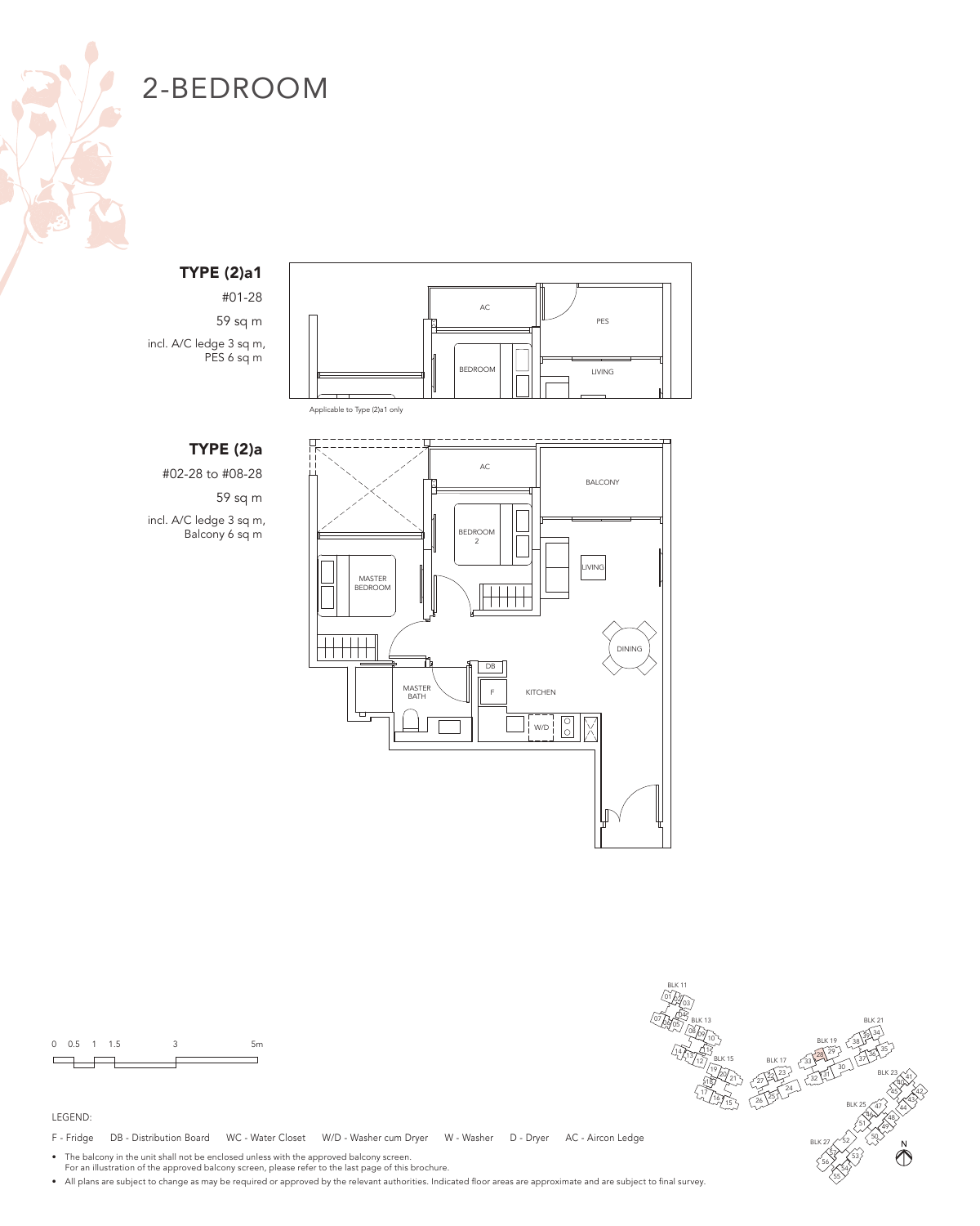

### TYPE (2)a1

#01-28 59 sq m incl. A/C ledge 3 sq m, PES 6 sq m



Applicable to Type (2)a1 only

## TYPE (2)a

#02-28 to #08-28 59 sq m

incl. A/C ledge 3 sq m, Balcony 6 sq m





#### LEGEND:

F - Fridge DB - Distribution Board WC - Water Closet W/D - Washer cum Dryer W - Washer D - Dryer AC - Aircon Ledge

• The balcony in the unit shall not be enclosed unless with the approved balcony screen. For an illustration of the approved balcony screen, please refer to the last page of this brochure.

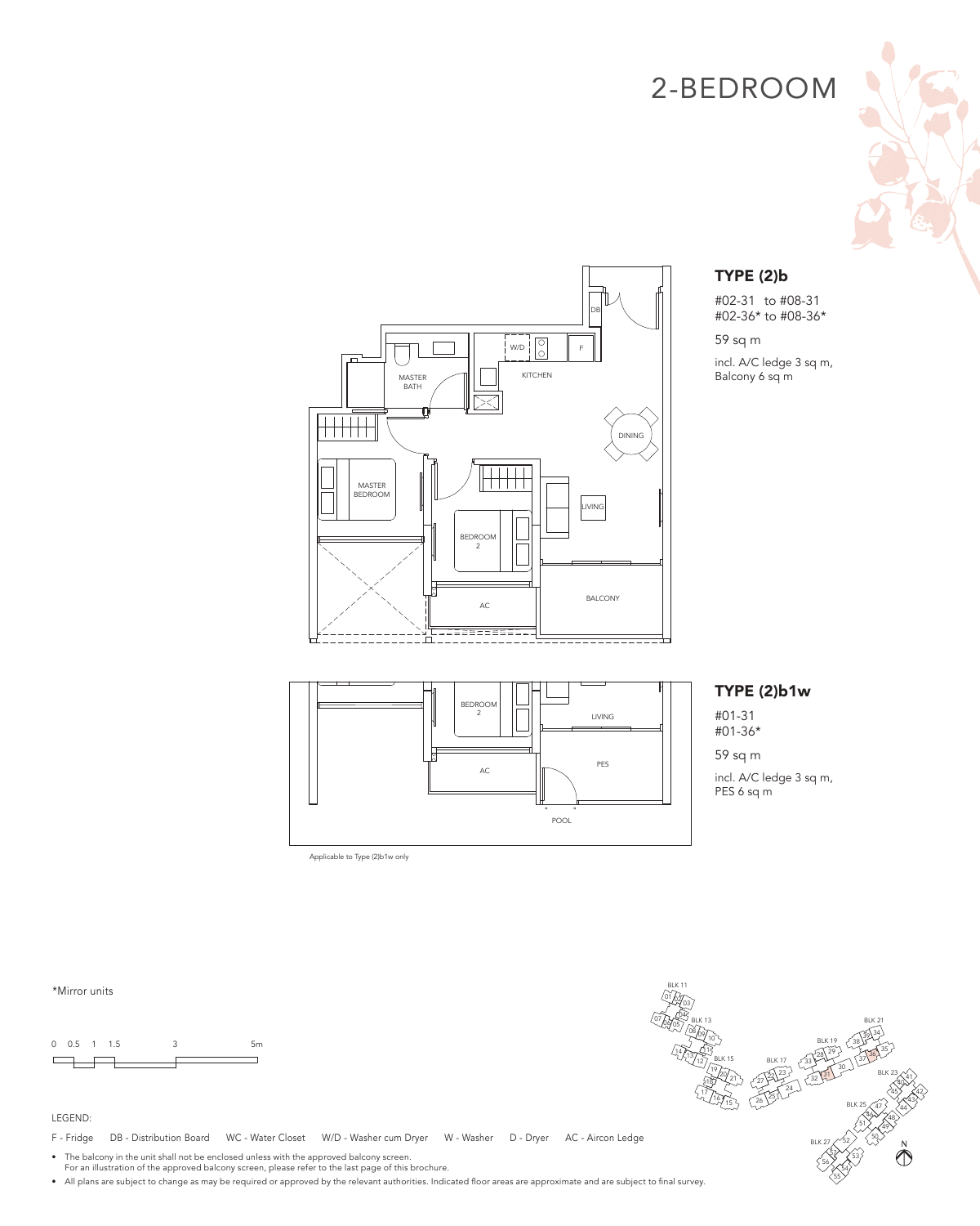



## TYPE (2)b

#02-31 to #08-31 #02-36\* to #08-36\*

59 sq m incl. A/C ledge 3 sq m, Balcony 6 sq m

# AC LIVING PES POOL BEDROOM 2

### TYPE (2)b1w

#01-31 #01-36\*

59 sq m incl. A/C ledge 3 sq m, PES 6 sq m

\*Mirror units





### LEGEND:

F - Fridge DB - Distribution Board WC - Water Closet W/D - Washer cum Dryer W - Washer D - Dryer AC - Aircon Ledge

Applicable to Type (2)b1w only

• The balcony in the unit shall not be enclosed unless with the approved balcony screen. For an illustration of the approved balcony screen, please refer to the last page of this brochure.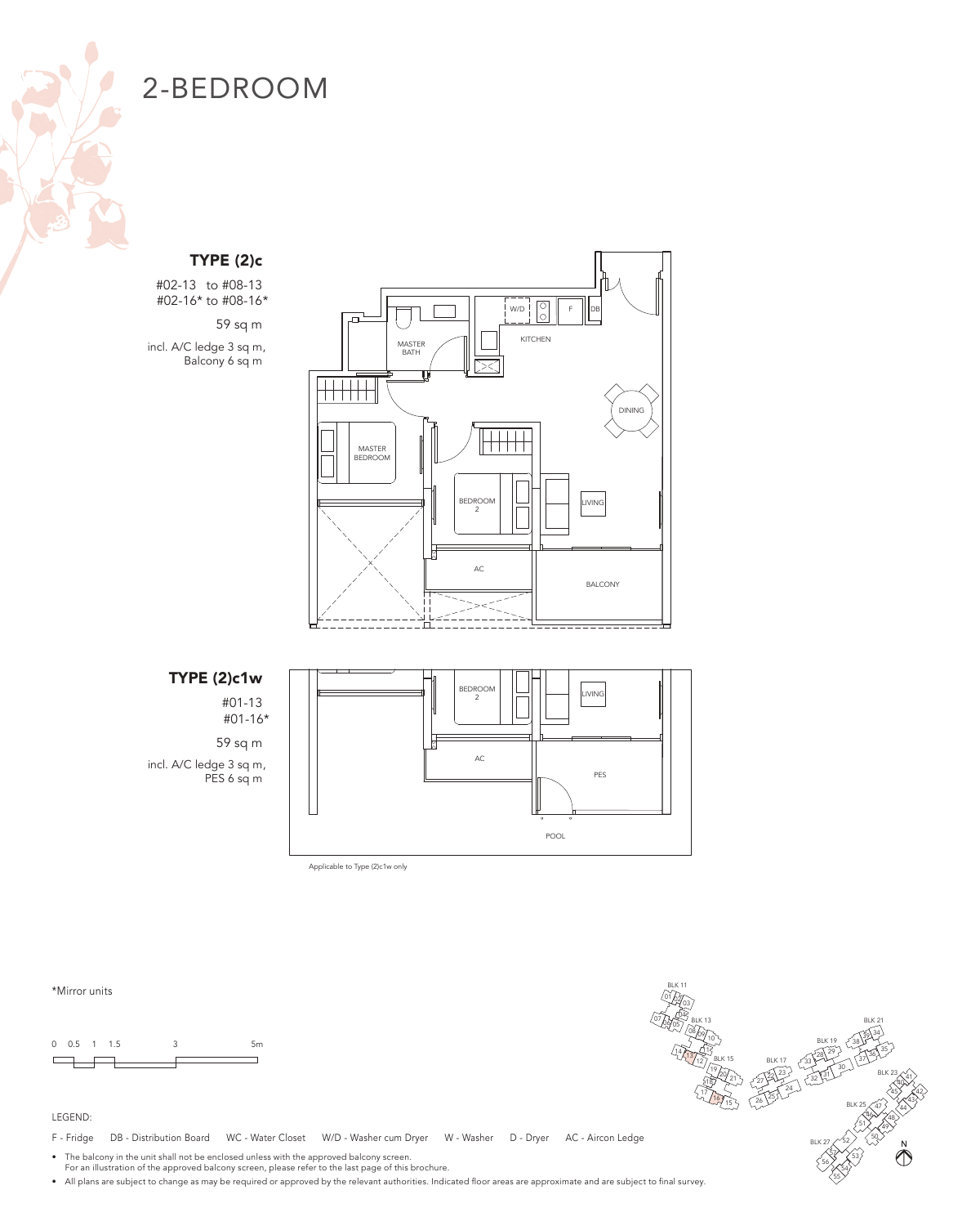## TYPE (2)c

#02-13 to #08-13 #02-16\* to #08-16\*

59 sq m incl. A/C ledge 3 sq m, Balcony 6 sq m



### TYPE (2)c1w

#01-13 #01-16\*

59 sq m incl. A/C ledge 3 sq m, PES 6 sq m



Applicable to Type (2)c1w only

\*Mirror units

0 0.5 1 1.5 3 5m  $\Box$ 



#### LEGEND:

F - Fridge DB - Distribution Board WC - Water Closet W/D - Washer cum Dryer W - Washer D - Dryer AC - Aircon Ledge

• The balcony in the unit shall not be enclosed unless with the approved balcony screen. For an illustration of the approved balcony screen, please refer to the last page of this brochure.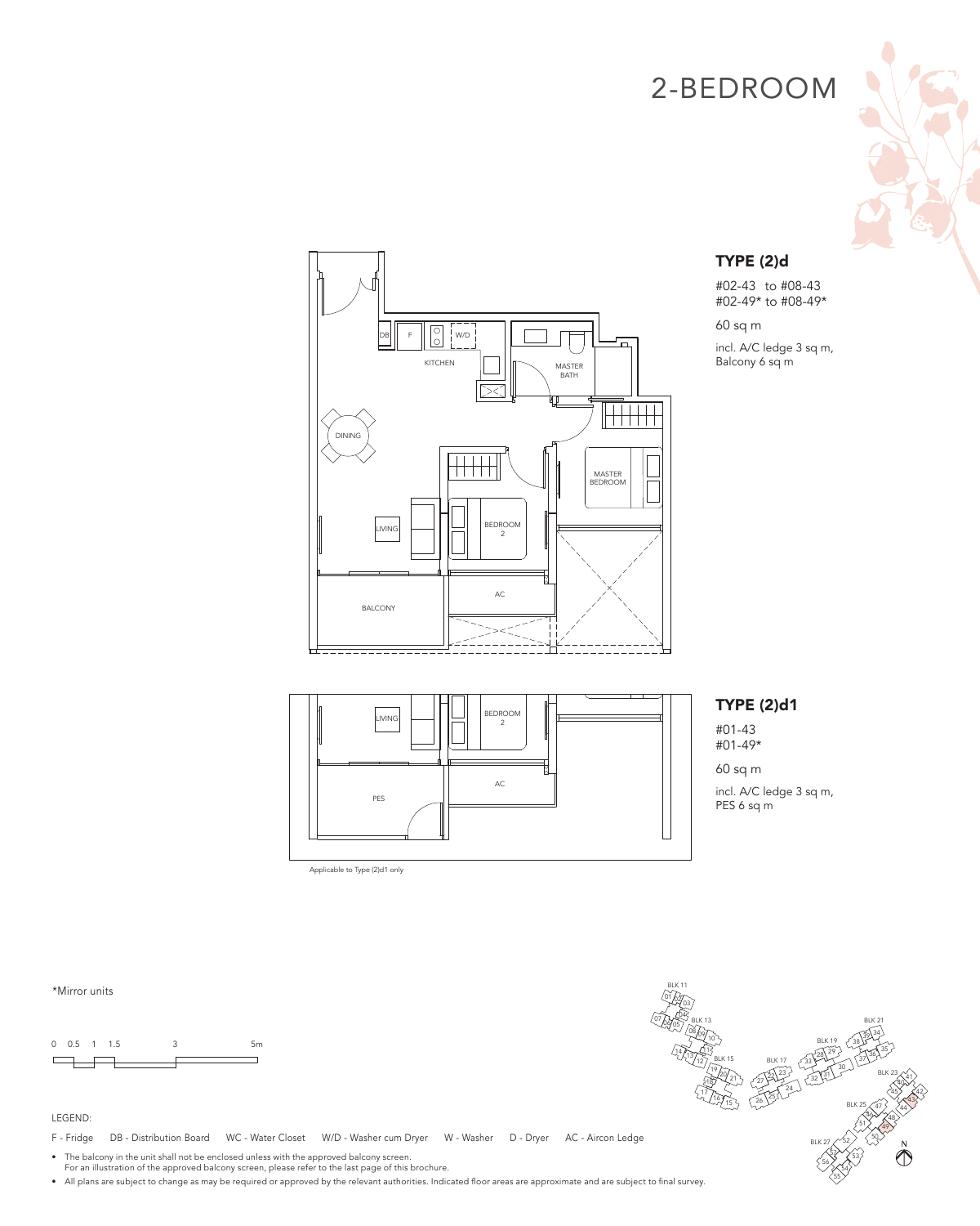



## TYPE (2)d

#02-43 to #08-43 #02-49\* to #08-49\*

60 sq m incl. A/C ledge 3 sq m, Balcony 6 sq m

AC LIVING PES BEDROOM  $\frac{1}{2}$ 

Applicable to Type (2)d1 only



#01-43 #01-49\*

60 sq m incl. A/C ledge 3 sq m, PES 6 sq m

#### \*Mirror units





#### LEGEND:

F - Fridge DB - Distribution Board WC - Water Closet W/D - Washer cum Dryer W - Washer D - Dryer AC - Aircon Ledge

• The balcony in the unit shall not be enclosed unless with the approved balcony screen. For an illustration of the approved balcony screen, please refer to the last page of this brochure.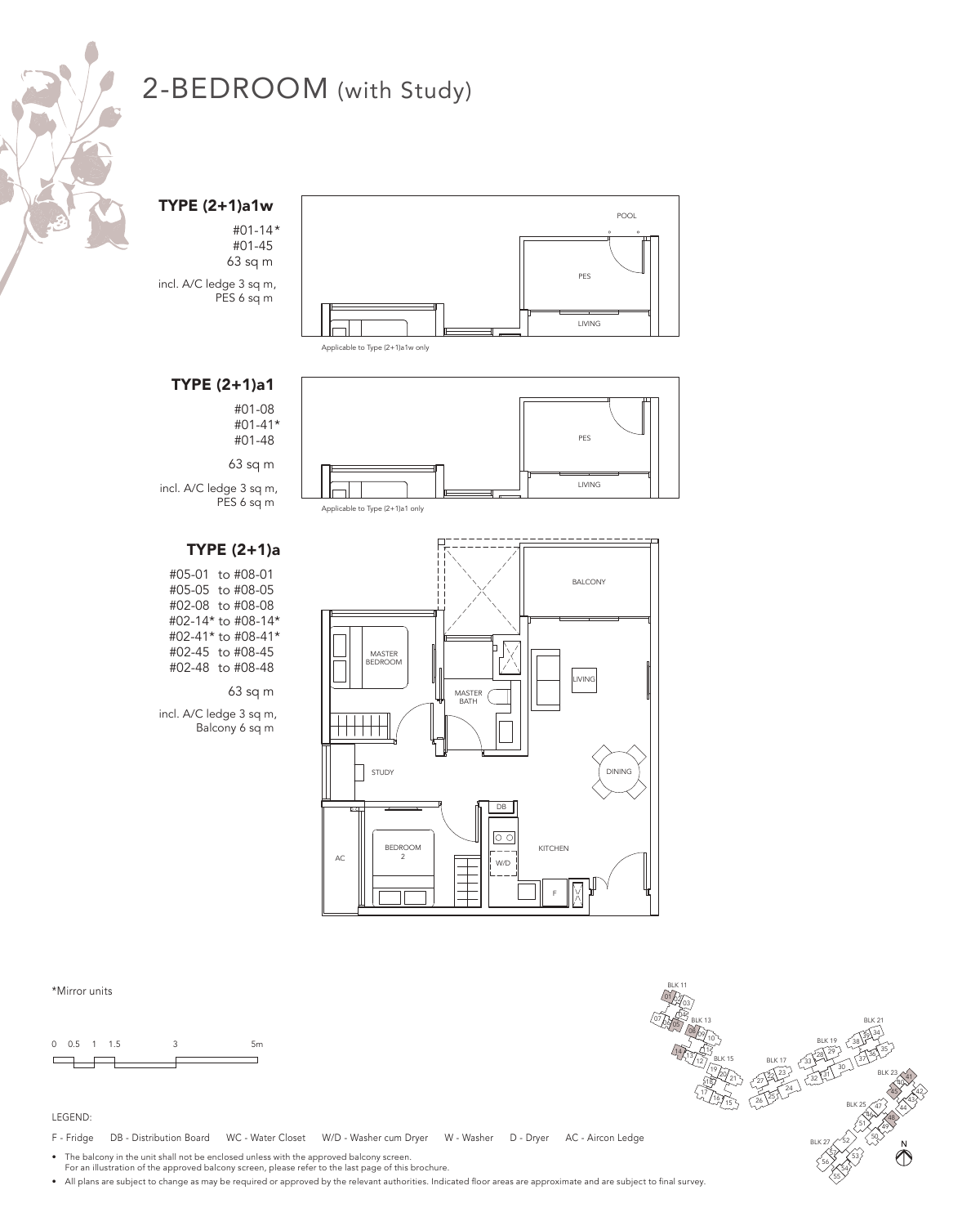

TYPE (2+1)a1w

#01-14\* #01-45 63 sq m incl. A/C ledge 3 sq m, PES 6 sq m



Applicable to Type (2+1)a1w only

## TYPE (2+1)a1

#01-08 #01-41\* #01-48

63 sq m

incl. A/C ledge 3 sq m,

# TYPE (2+1)a

#05-01 to #08-01 #05-05 to #08-05 #02-08 to #08-08 #02-14\* to #08-14\* #02-41\* to #08-41\* #02-45 to #08-45 #02-48 to #08-48

#### 63 sq m

incl. A/C ledge 3 sq m, Balcony 6 sq m



Applicable to Type (2+1)a1 only



\*Mirror units

0 0.5 1 1.5 3 5m  $\Box$ 

#### LEGEND:

F - Fridge DB - Distribution Board WC - Water Closet W/D - Washer cum Dryer W - Washer D - Dryer AC - Aircon Ledge

• The balcony in the unit shall not be enclosed unless with the approved balcony screen.

For an illustration of the approved balcony screen, please refer to the last page of this brochure.

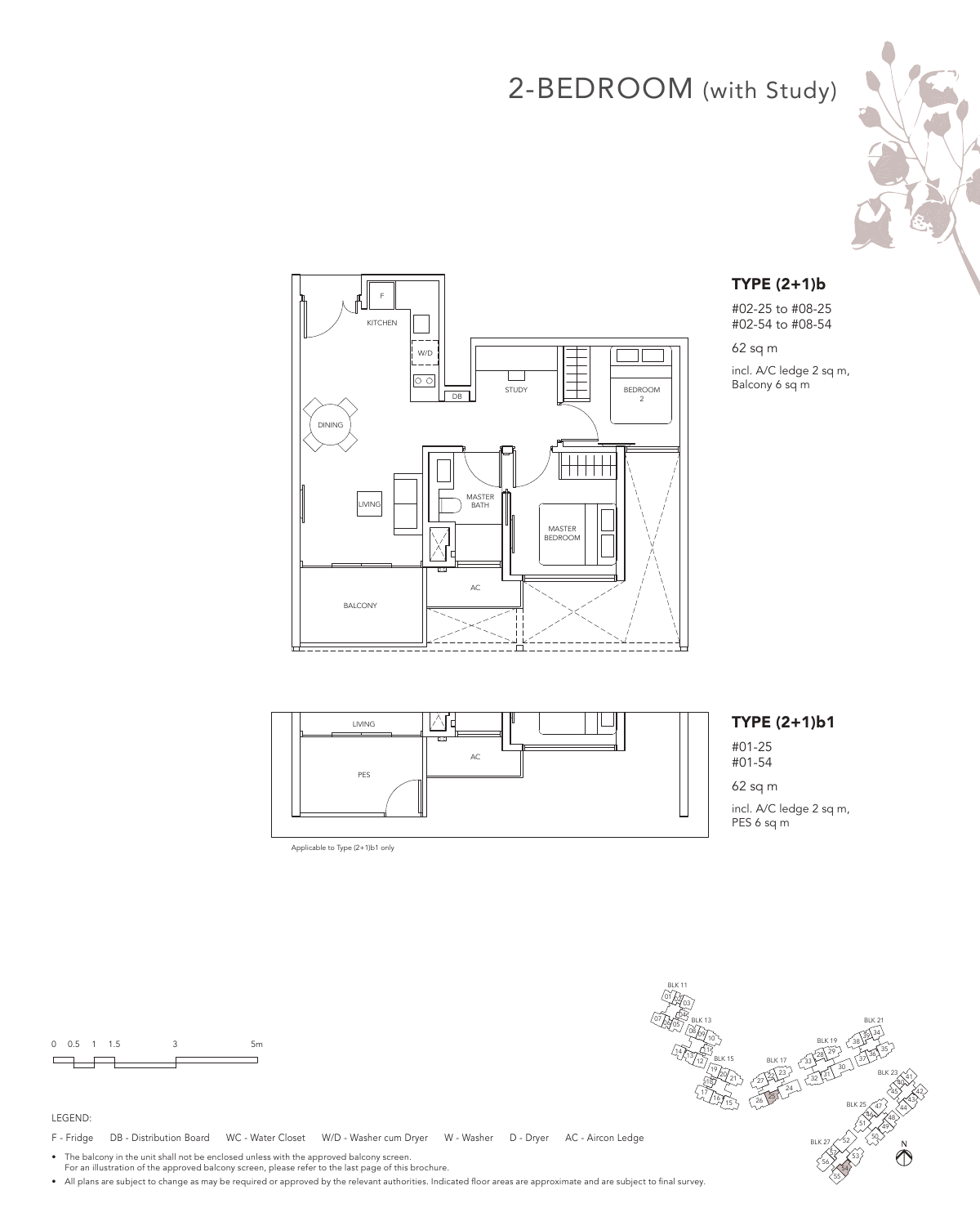



### TYPE (2+1)b

#02-25 to #08-25 #02-54 to #08-54

62 sq m

incl. A/C ledge 2 sq m, Balcony 6 sq m

M LIVING #01-25 AC PES

Applicable to Type (2+1)b1 only

# TYPE (2+1)b1

#01-54 62 sq m incl. A/C ledge 2 sq m, PES 6 sq m

0 0.5 1 1.5 3 5m  $\Box$ 

#### LEGEND:

F - Fridge DB - Distribution Board WC - Water Closet W/D - Washer cum Dryer W - Washer D - Dryer AC - Aircon Ledge

• The balcony in the unit shall not be enclosed unless with the approved balcony screen. For an illustration of the approved balcony screen, please refer to the last page of this brochure.

• All plans are subject to change as may be required or approved by the relevant authorities. Indicated floor areas are approximate and are subject to final survey.



BLK 11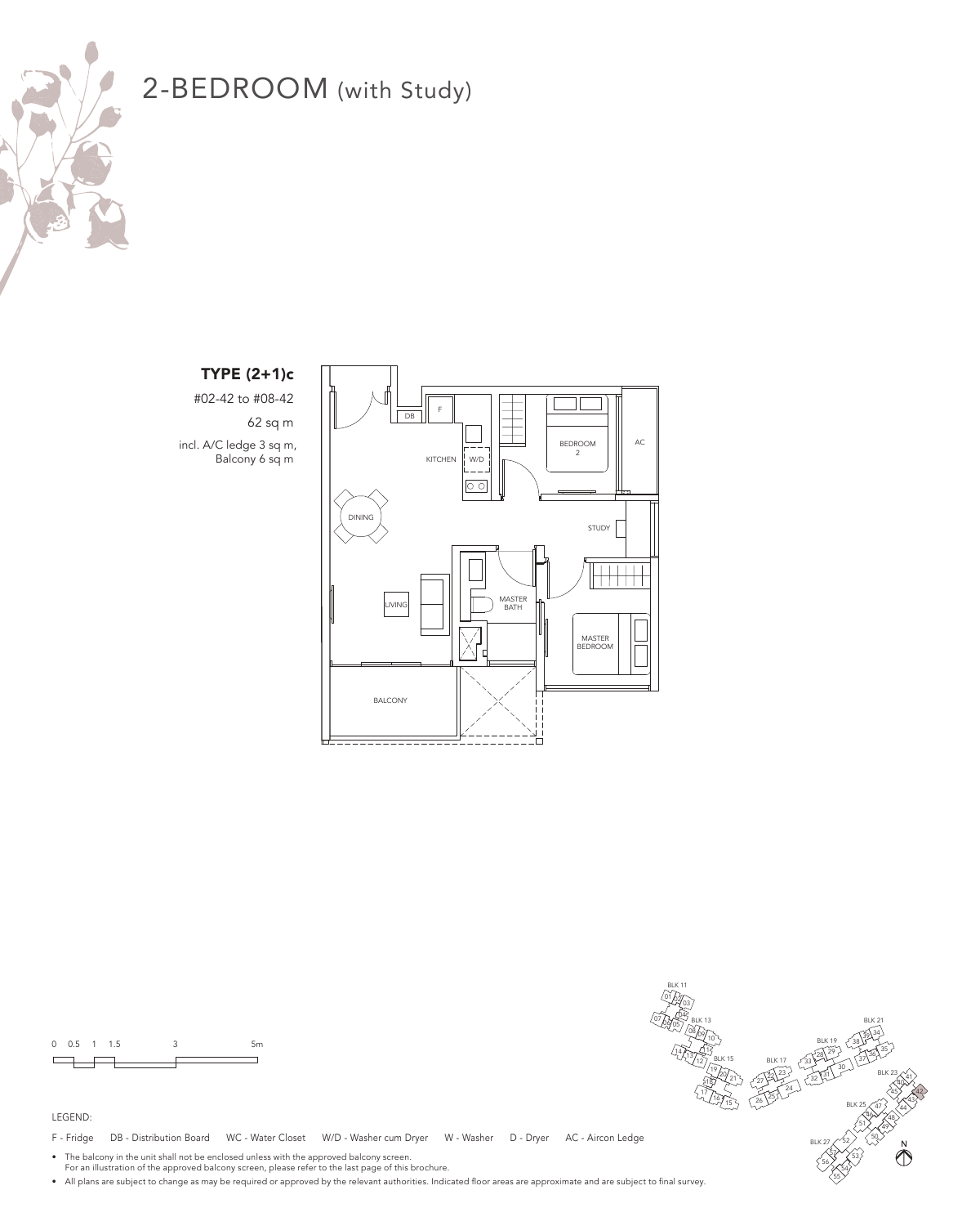

# TYPE (2+1)c

#02-42 to #08-42 62 sq m incl. A/C ledge 3 sq m, Balcony 6 sq m





LEGEND:

F - Fridge DB - Distribution Board WC - Water Closet W/D - Washer cum Dryer W - Washer D - Dryer AC - Aircon Ledge

• The balcony in the unit shall not be enclosed unless with the approved balcony screen. For an illustration of the approved balcony screen, please refer to the last page of this brochure.

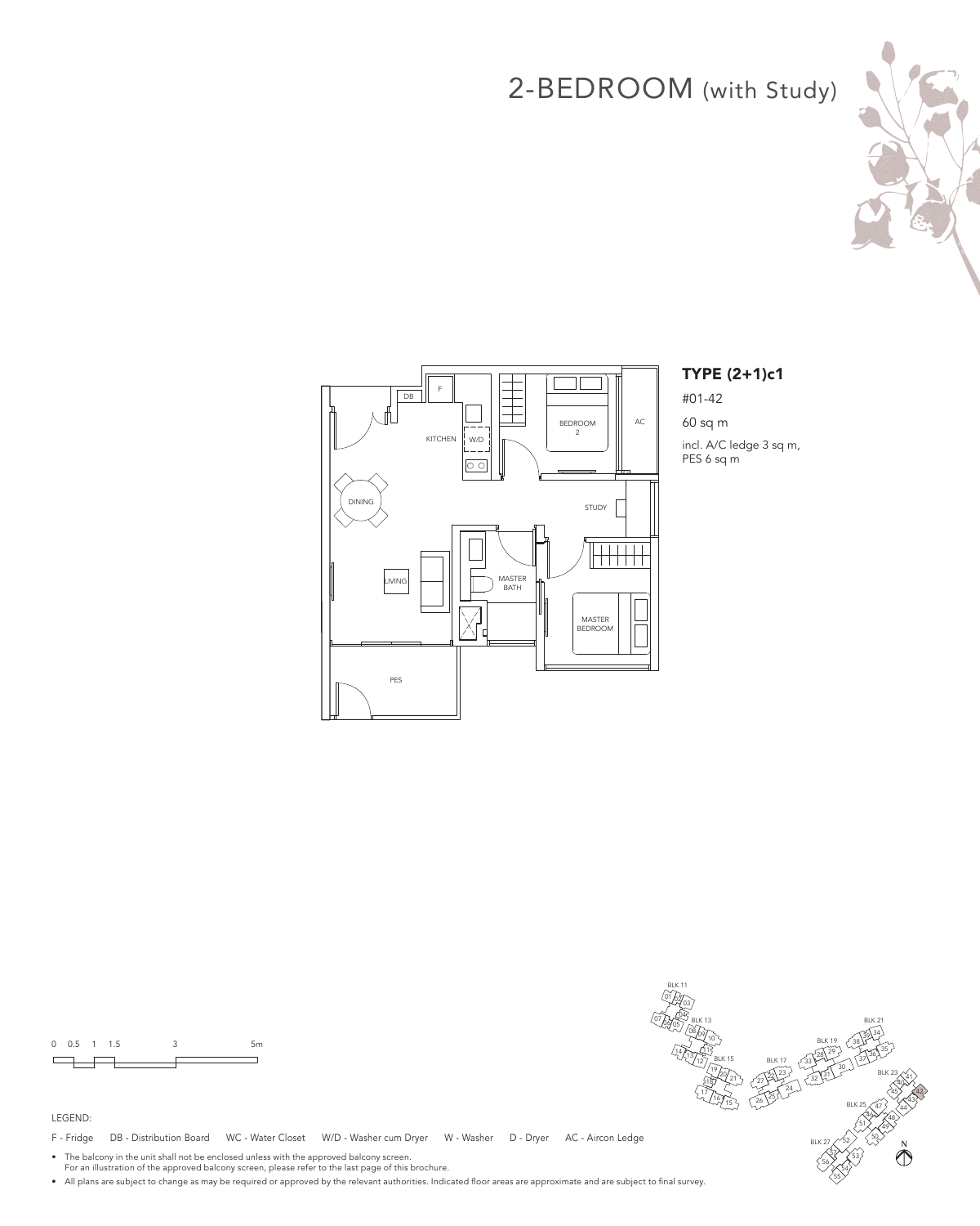



## TYPE (2+1)c1

#01-42

60 sq m incl. A/C ledge 3 sq m, PES 6 sq m

0 0.5 1 1.5 3 5m  $\Box$ 

#### LEGEND:

F - Fridge DB - Distribution Board WC - Water Closet W/D - Washer cum Dryer W - Washer D - Dryer AC - Aircon Ledge

• The balcony in the unit shall not be enclosed unless with the approved balcony screen. For an illustration of the approved balcony screen, please refer to the last page of this brochure.

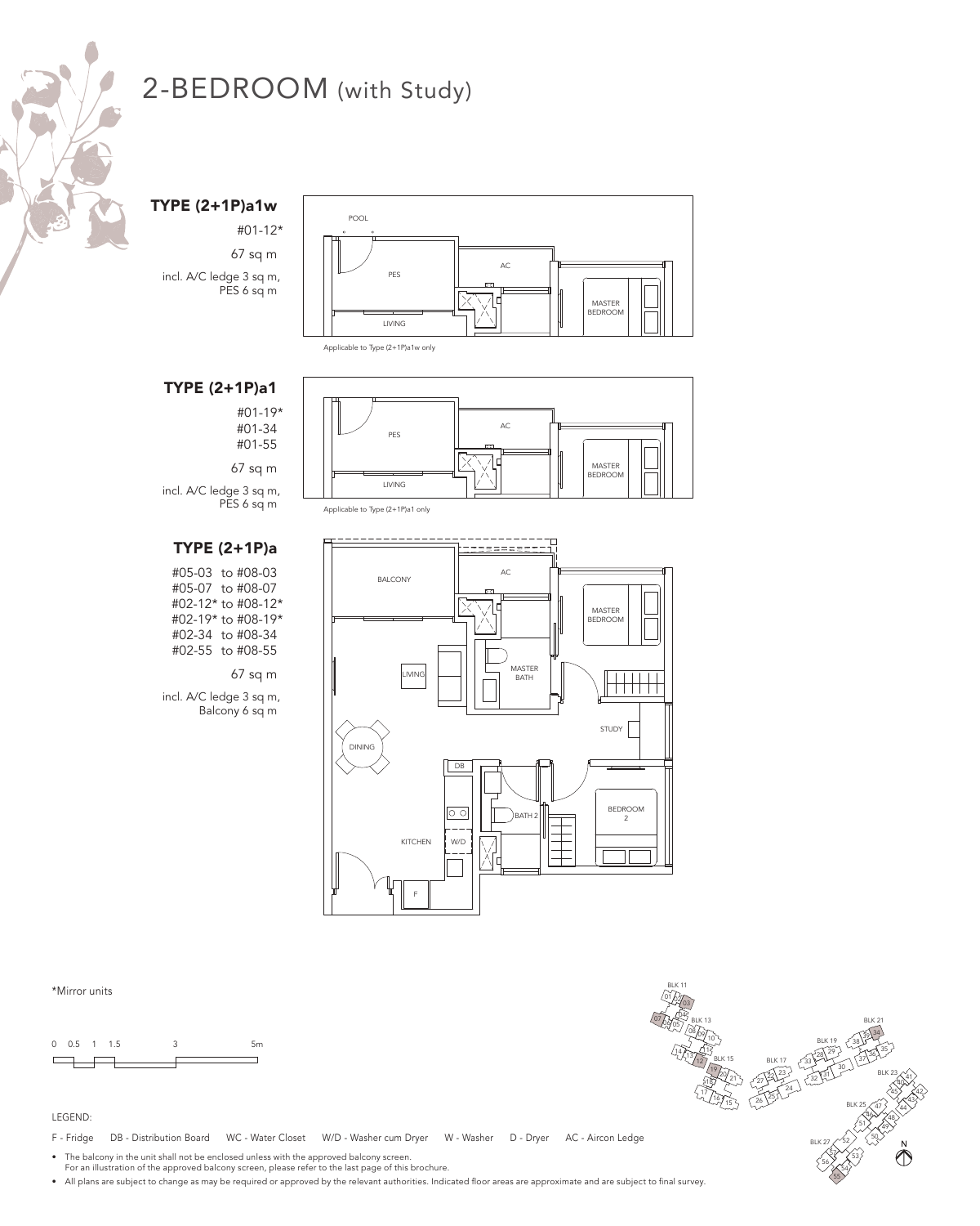

TYPE (2+1P)a1w

#01-12\* 67 sq m incl. A/C ledge 3 sq m, PES 6 sq m



Applicable to Type (2+1P)a1w only

## TYPE (2+1P)a1

#01-19\* #01-34 #01-55

67 sq m

PES 6 sq m



Applicable to Type (2+1P)a1 only

# TYPE (2+1P)a

incl. A/C ledge 3 sq m,

#05-03 to #08-03 #05-07 to #08-07 #02-12\* to #08-12\* #02-19\* to #08-19\* #02-34 to #08-34 #02-55 to #08-55

#### 67 sq m

incl. A/C ledge 3 sq m, Balcony 6 sq m



### \*Mirror units

0 0.5 1 1.5 3 5m  $\Box$ 

#### LEGEND:

F - Fridge DB - Distribution Board WC - Water Closet W/D - Washer cum Dryer W - Washer D - Dryer AC - Aircon Ledge

• The balcony in the unit shall not be enclosed unless with the approved balcony screen.

For an illustration of the approved balcony screen, please refer to the last page of this brochure.

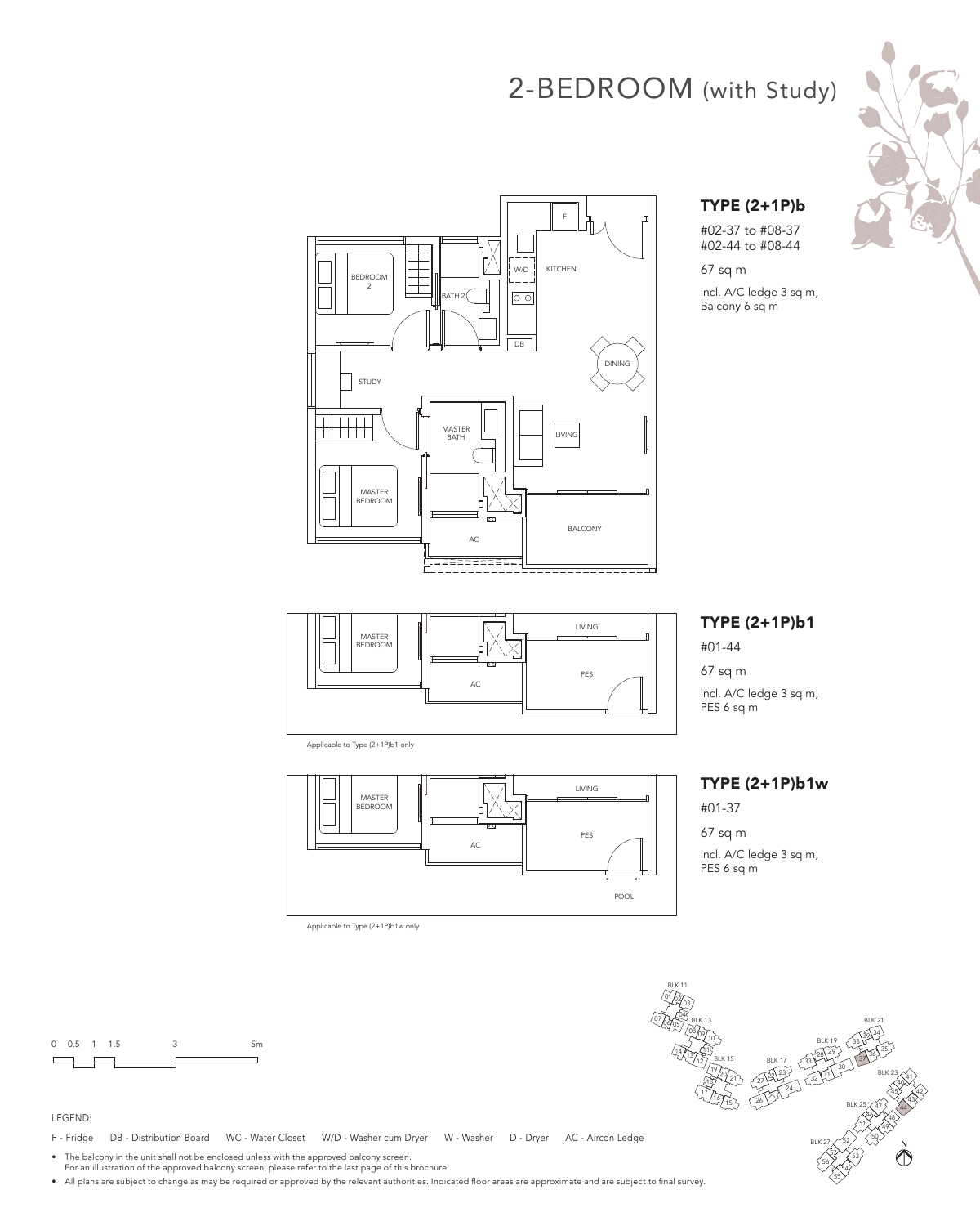



#02-37 to #08-37 #02-44 to #08-44

67 sq m incl. A/C ledge 3 sq m, Balcony 6 sq m





Applicable to Type (2+1P)b1 only



Applicable to Type (2+1P)b1w only

# TYPE (2+1P)b1

#01-44

67 sq m incl. A/C ledge 3 sq m, PES 6 sq m

#### TYPE (2+1P)b1w

#01-37

67 sq m

incl. A/C ledge 3 sq m, PES 6 sq m



#### LEGEND:

F - Fridge DB - Distribution Board WC - Water Closet W/D - Washer cum Dryer W - Washer D - Dryer AC - Aircon Ledge

• The balcony in the unit shall not be enclosed unless with the approved balcony screen. For an illustration of the approved balcony screen, please refer to the last page of this brochure.

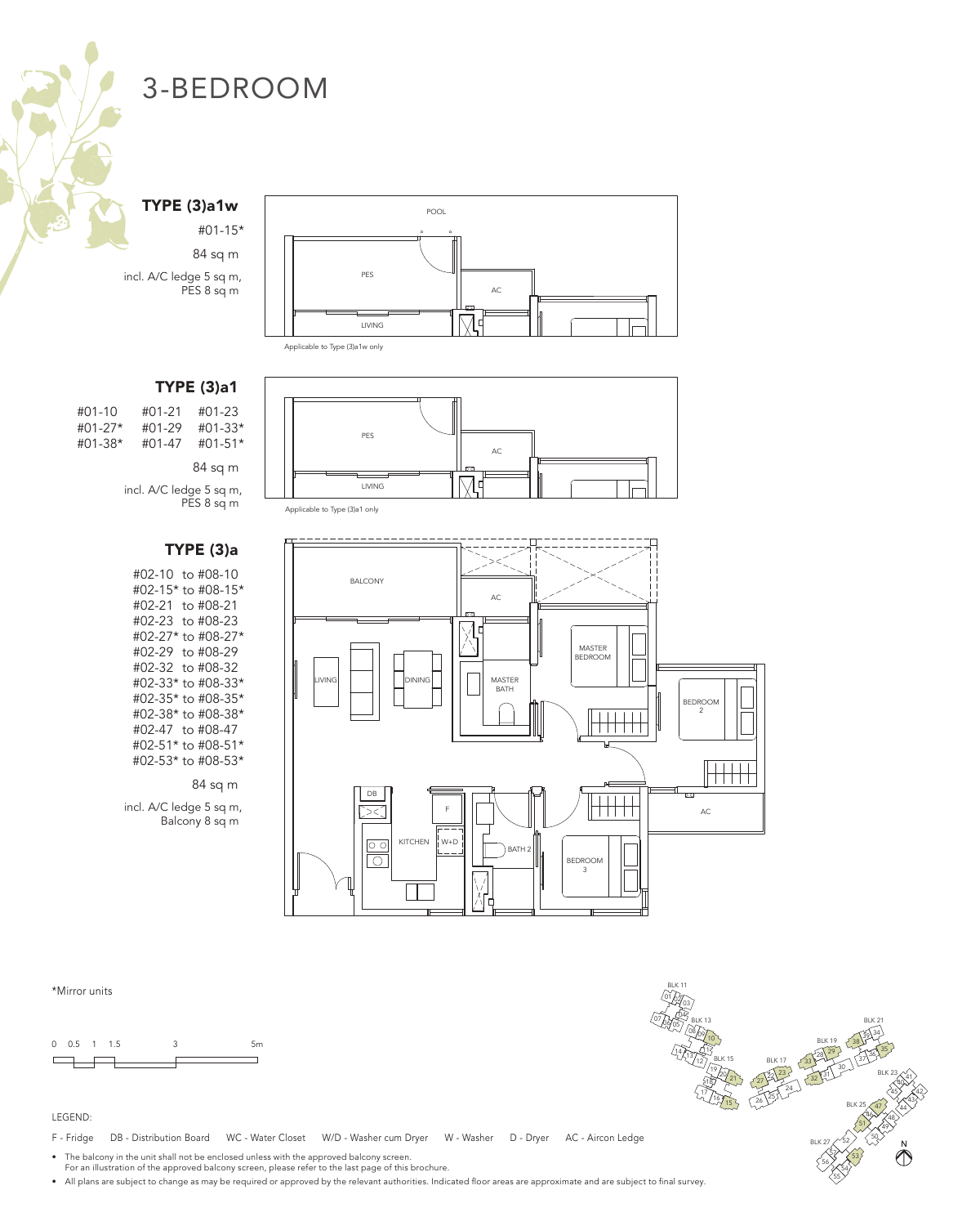#### TYPE (3)a1w

#01-15\* 84 sq m incl. A/C ledge 5 sq m, PES 8 sq m



| $#01-10$  | #01-21 | #01-23      |
|-----------|--------|-------------|
| $#01-27*$ | #01-29 | $#01 - 33*$ |
| #01-38*   | #01-47 | $#01-51*$   |
|           |        | 84 sq m     |

incl. A/C ledge 5 sq m, PES 8 sq m

## TYPE (3)a

#02-10 to #08-10 #02-15\* to #08-15\* #02-21 to #08-21 #02-23 to #08-23 #02-27\* to #08-27\* #02-29 to #08-29 #02-32 to #08-32 #02-33\* to #08-33\* #02-35\* to #08-35\* #02-38\* to #08-38\* #02-47 to #08-47 #02-51\* to #08-51\* #02-53\* to #08-53\*

84 sq m

incl. A/C ledge 5 sq m, Balcony 8 sq m



Applicable to Type (3)a1w only







### \*Mirror units

0 0.5 1 1.5 3 5m  $\Box$ 

#### LEGEND:

F - Fridge DB - Distribution Board WC - Water Closet W/D - Washer cum Dryer W - Washer D - Dryer AC - Aircon Ledge

• The balcony in the unit shall not be enclosed unless with the approved balcony screen.

For an illustration of the approved balcony screen, please refer to the last page of this brochure.

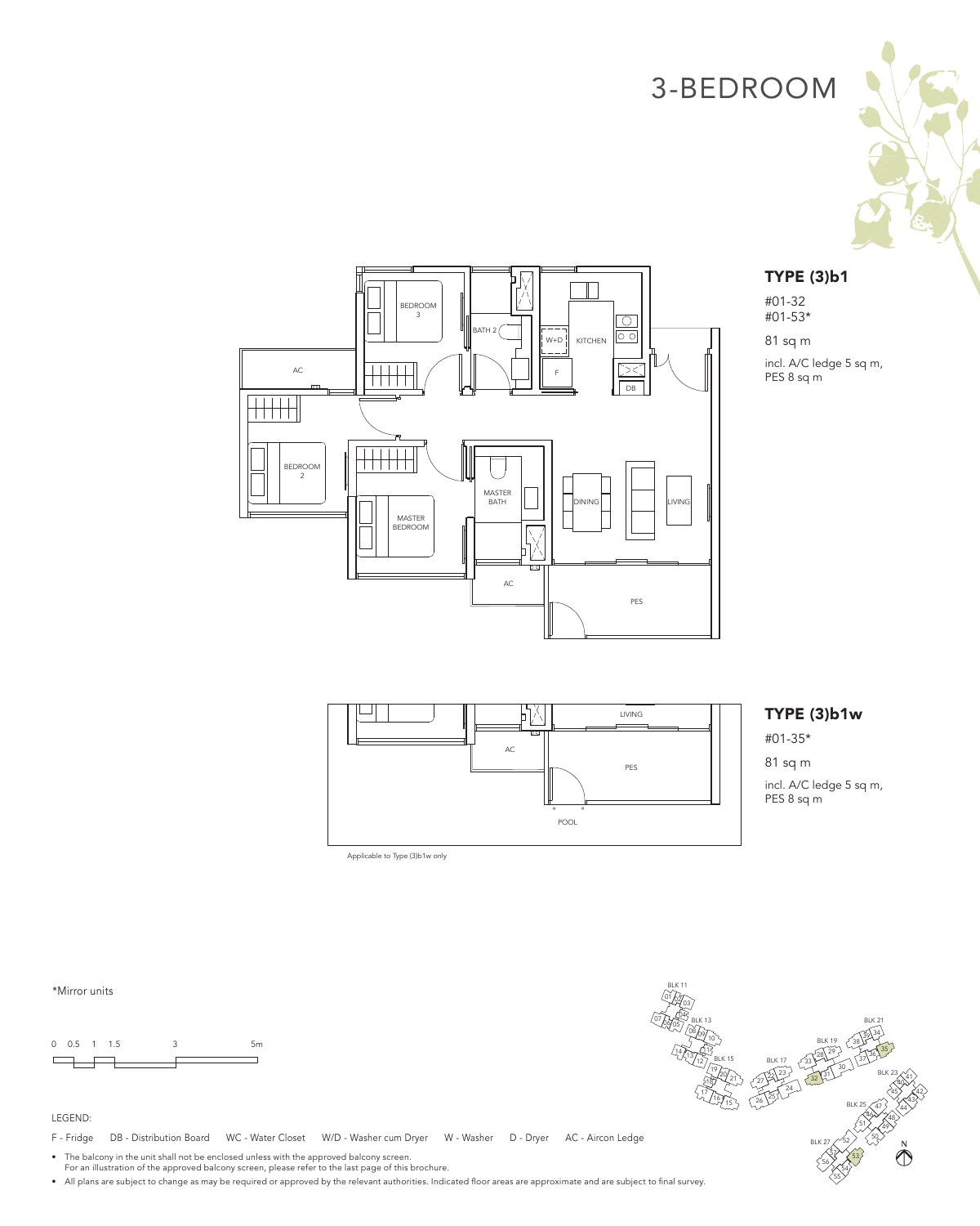



#01-32 #01-53\*

81 sq m

incl. A/C ledge 5 sq m, PES 8 sq m





POOL

### TYPE (3)b1w

#01-35\*

incl. A/C ledge 5 sq m, PES 8 sq m

\*Mirror units



#### LEGEND:

F - Fridge DB - Distribution Board WC - Water Closet W/D - Washer cum Dryer W - Washer D - Dryer AC - Aircon Ledge

Applicable to Type (3)b1w only

• The balcony in the unit shall not be enclosed unless with the approved balcony screen. For an illustration of the approved balcony screen, please refer to the last page of this brochure.

• All plans are subject to change as may be required or approved by the relevant authorities. Indicated floor areas are approximate and are subject to final survey.

BLK 11 01 02/<sub>03</sub> 07 07 08 BLK 13 BLK 21 08/09/10 38 34 BLK 19 35  $\frac{14}{13}$  13 12 1  $^{29}$  $37^{36}$ BLK 15 BLK 17 33 30  $\frac{19}{22}$   $\frac{27}{27}$ BLK 23 31  $\bigotimes^{\hspace{-2.1mm}41}$ 32 18 24  $\sqrt[12]{16}$ 45 $\lambda$   $\leq$  42  $^{25}$ 43 BLK 25  $47$ ,  $<$  44  $46$   $\times$  48 51 49  $\binom{52}{5}$   $\binom{50}{5}$  $\sum_{\alpha}^{\infty}$ BLK 27 53 56 X 54 55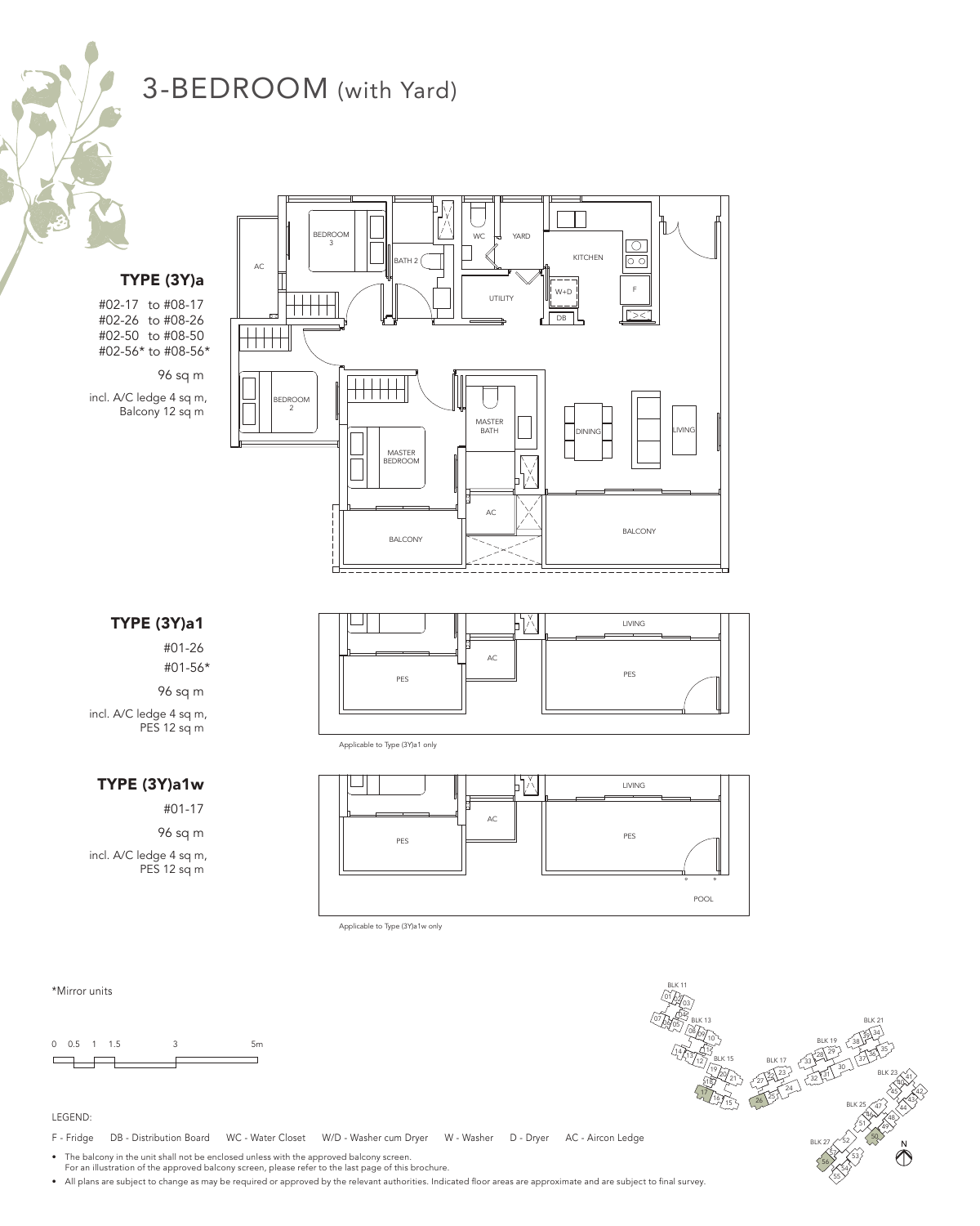# 3-BEDROOM (with Yard)

TYPE (3Y)a #02-17 to #08-17

#02-26 to #08-26 #02-50 to #08-50 #02-56\* to #08-56\*

96 sq m

incl. A/C ledge 4 sq m, Balcony 12 sq m





Applicable to Type (3Y)a1 only



Applicable to Type (3Y)a1w only

\*Mirror units

0 0.5 1 1.5 3 5m  $\Box$ 

#### LEGEND:

F - Fridge DB - Distribution Board WC - Water Closet W/D - Washer cum Dryer W - Washer D - Dryer AC - Aircon Ledge

• The balcony in the unit shall not be enclosed unless with the approved balcony screen.

For an illustration of the approved balcony screen, please refer to the last page of this brochure.

• All plans are subject to change as may be required or approved by the relevant authorities. Indicated floor areas are approximate and are subject to final survey.



TYPE (3Y)a1

#01-26 #01-56\*

96 sq m incl. A/C ledge 4 sq m,

PES 12 sq m

### TYPE (3Y)a1w

#01-17

96 sq m

incl. A/C ledge 4 sq m, PES 12 sq m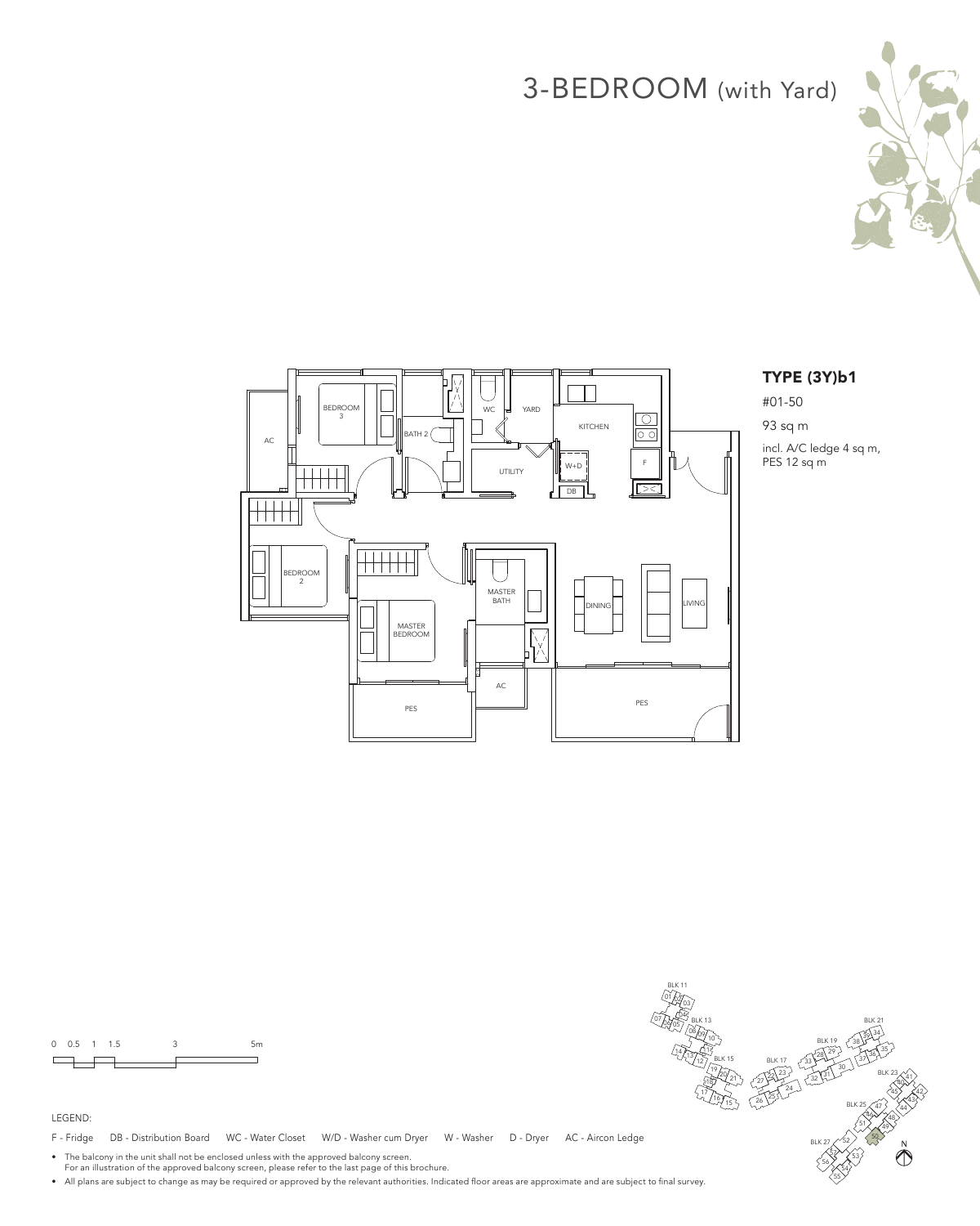# 3-BEDROOM (with Yard)





### TYPE (3Y)b1

#01-50 93 sq m incl. A/C ledge 4 sq m,





F - Fridge DB - Distribution Board WC - Water Closet W/D - Washer cum Dryer W - Washer D - Dryer AC - Aircon Ledge

• The balcony in the unit shall not be enclosed unless with the approved balcony screen. For an illustration of the approved balcony screen, please refer to the last page of this brochure.

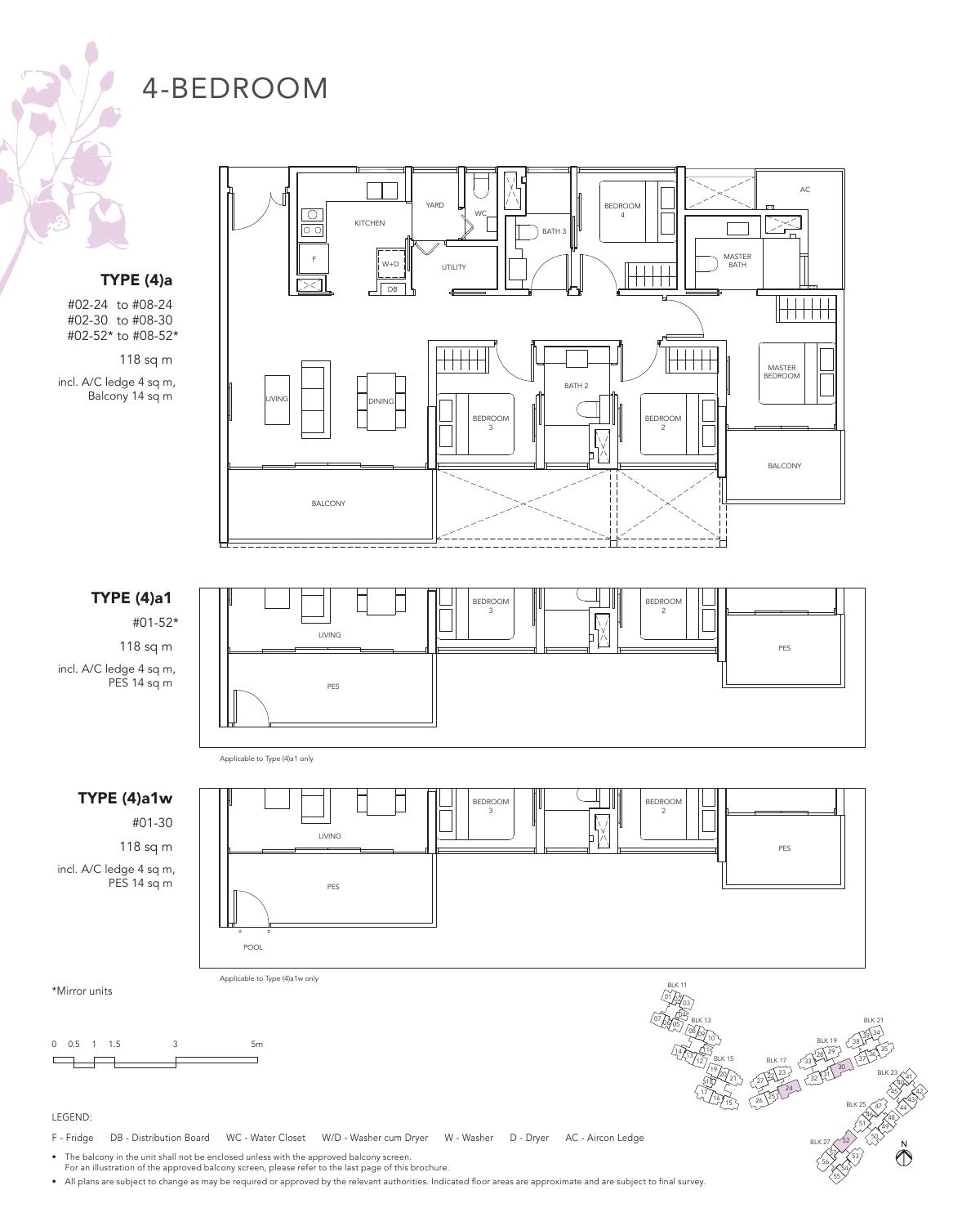TYPE (4)a

#02-24 to #08-24 #02-30 to #08-30 #02-52\* to #08-52\*

118 sq m

incl. A/C ledge 4 sq m, Balcony 14 sq m

TYPE (4)a1

118 sq m

PES 14 sq m

TYPE (4)a1w

#01-30 118 sq m

PES 14 sq m



BLK 25

 $40^{41}$ 45 $\lambda$   $\leq$  42  $43$  $47$ ,  $<$  44  $46$  $\times$ 48 51  $\binom{52}{3}$   $\binom{50}{3}$  $\sqrt[5]{\frac{1}{53}}$ 56 **X** 54 55

 $\bigotimes^N$ 

 $49$ 

BLK 27

24

 $^{25}_{26}$ <sup>25</sup>

18  $\sqrt[12]{16}$ 

### LEGEND:

 $\Box$ 

\*Mirror units

F - Fridge DB - Distribution Board WC - Water Closet W/D - Washer cum Dryer W - Washer D - Dryer AC - Aircon Ledge

• The balcony in the unit shall not be enclosed unless with the approved balcony screen.

For an illustration of the approved balcony screen, please refer to the last page of this brochure.